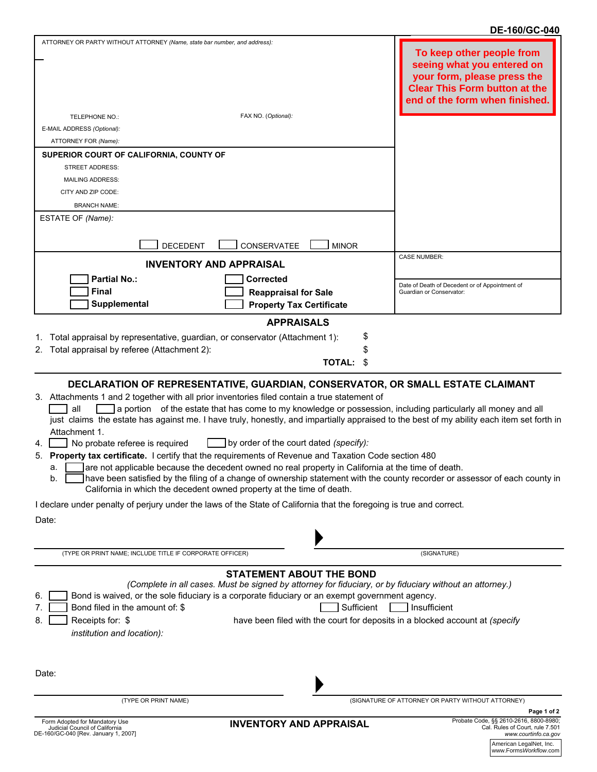## **DE-160/GC-040**

| ATTORNEY OR PARTY WITHOUT ATTORNEY (Name, state bar number, and address):                                                                                                                                                                                                                                                                                                                                                                                                                                                                                                                                                                                                                                                                                                                                                                                         |                                                                                                                                               | To keep other people from<br>seeing what you entered on<br>your form, please press the<br><b>Clear This Form button at the</b><br>end of the form when finished. |
|-------------------------------------------------------------------------------------------------------------------------------------------------------------------------------------------------------------------------------------------------------------------------------------------------------------------------------------------------------------------------------------------------------------------------------------------------------------------------------------------------------------------------------------------------------------------------------------------------------------------------------------------------------------------------------------------------------------------------------------------------------------------------------------------------------------------------------------------------------------------|-----------------------------------------------------------------------------------------------------------------------------------------------|------------------------------------------------------------------------------------------------------------------------------------------------------------------|
| FAX NO. (Optional):<br>TELEPHONE NO.:                                                                                                                                                                                                                                                                                                                                                                                                                                                                                                                                                                                                                                                                                                                                                                                                                             |                                                                                                                                               |                                                                                                                                                                  |
| E-MAIL ADDRESS (Optional):                                                                                                                                                                                                                                                                                                                                                                                                                                                                                                                                                                                                                                                                                                                                                                                                                                        |                                                                                                                                               |                                                                                                                                                                  |
| ATTORNEY FOR (Name):                                                                                                                                                                                                                                                                                                                                                                                                                                                                                                                                                                                                                                                                                                                                                                                                                                              |                                                                                                                                               |                                                                                                                                                                  |
| SUPERIOR COURT OF CALIFORNIA, COUNTY OF                                                                                                                                                                                                                                                                                                                                                                                                                                                                                                                                                                                                                                                                                                                                                                                                                           |                                                                                                                                               |                                                                                                                                                                  |
| <b>STREET ADDRESS:</b>                                                                                                                                                                                                                                                                                                                                                                                                                                                                                                                                                                                                                                                                                                                                                                                                                                            |                                                                                                                                               |                                                                                                                                                                  |
| <b>MAILING ADDRESS:</b>                                                                                                                                                                                                                                                                                                                                                                                                                                                                                                                                                                                                                                                                                                                                                                                                                                           |                                                                                                                                               |                                                                                                                                                                  |
| CITY AND ZIP CODE:                                                                                                                                                                                                                                                                                                                                                                                                                                                                                                                                                                                                                                                                                                                                                                                                                                                |                                                                                                                                               |                                                                                                                                                                  |
| <b>BRANCH NAME:</b>                                                                                                                                                                                                                                                                                                                                                                                                                                                                                                                                                                                                                                                                                                                                                                                                                                               |                                                                                                                                               |                                                                                                                                                                  |
| ESTATE OF (Name):                                                                                                                                                                                                                                                                                                                                                                                                                                                                                                                                                                                                                                                                                                                                                                                                                                                 |                                                                                                                                               |                                                                                                                                                                  |
|                                                                                                                                                                                                                                                                                                                                                                                                                                                                                                                                                                                                                                                                                                                                                                                                                                                                   |                                                                                                                                               |                                                                                                                                                                  |
| CONSERVATEE<br><b>DECEDENT</b>                                                                                                                                                                                                                                                                                                                                                                                                                                                                                                                                                                                                                                                                                                                                                                                                                                    | <b>MINOR</b>                                                                                                                                  |                                                                                                                                                                  |
| <b>INVENTORY AND APPRAISAL</b>                                                                                                                                                                                                                                                                                                                                                                                                                                                                                                                                                                                                                                                                                                                                                                                                                                    | <b>CASE NUMBER:</b>                                                                                                                           |                                                                                                                                                                  |
| <b>Partial No.:</b><br><b>Corrected</b>                                                                                                                                                                                                                                                                                                                                                                                                                                                                                                                                                                                                                                                                                                                                                                                                                           |                                                                                                                                               | Date of Death of Decedent or of Appointment of                                                                                                                   |
| <b>Final</b><br><b>Reappraisal for Sale</b>                                                                                                                                                                                                                                                                                                                                                                                                                                                                                                                                                                                                                                                                                                                                                                                                                       | Guardian or Conservator:                                                                                                                      |                                                                                                                                                                  |
| Supplemental                                                                                                                                                                                                                                                                                                                                                                                                                                                                                                                                                                                                                                                                                                                                                                                                                                                      | <b>Property Tax Certificate</b>                                                                                                               |                                                                                                                                                                  |
|                                                                                                                                                                                                                                                                                                                                                                                                                                                                                                                                                                                                                                                                                                                                                                                                                                                                   | <b>APPRAISALS</b>                                                                                                                             |                                                                                                                                                                  |
| Total appraisal by representative, guardian, or conservator (Attachment 1):<br>Total appraisal by referee (Attachment 2):<br>2.                                                                                                                                                                                                                                                                                                                                                                                                                                                                                                                                                                                                                                                                                                                                   | \$<br><b>TOTAL:</b><br>\$                                                                                                                     |                                                                                                                                                                  |
| 3. Attachments 1 and 2 together with all prior inventories filed contain a true statement of<br>a portion of the estate that has come to my knowledge or possession, including particularly all money and all<br>all<br>just claims the estate has against me. I have truly, honestly, and impartially appraised to the best of my ability each item set forth in<br>Attachment 1.<br>No probate referee is required<br>4.<br>Property tax certificate. I certify that the requirements of Revenue and Taxation Code section 480<br>5.<br>are not applicable because the decedent owned no real property in California at the time of death.<br>a.<br>Thave been satisfied by the filing of a change of ownership statement with the county recorder or assessor of each county in<br>b.<br>California in which the decedent owned property at the time of death. | by order of the court dated (specify):                                                                                                        |                                                                                                                                                                  |
| I declare under penalty of perjury under the laws of the State of California that the foregoing is true and correct.                                                                                                                                                                                                                                                                                                                                                                                                                                                                                                                                                                                                                                                                                                                                              |                                                                                                                                               |                                                                                                                                                                  |
| Date:                                                                                                                                                                                                                                                                                                                                                                                                                                                                                                                                                                                                                                                                                                                                                                                                                                                             |                                                                                                                                               |                                                                                                                                                                  |
|                                                                                                                                                                                                                                                                                                                                                                                                                                                                                                                                                                                                                                                                                                                                                                                                                                                                   |                                                                                                                                               |                                                                                                                                                                  |
| (TYPE OR PRINT NAME; INCLUDE TITLE IF CORPORATE OFFICER)                                                                                                                                                                                                                                                                                                                                                                                                                                                                                                                                                                                                                                                                                                                                                                                                          | (SIGNATURE)                                                                                                                                   |                                                                                                                                                                  |
| (Complete in all cases. Must be signed by attorney for fiduciary, or by fiduciary without an attorney.)<br>Bond is waived, or the sole fiduciary is a corporate fiduciary or an exempt government agency.<br>6.<br>Bond filed in the amount of: \$<br>Receipts for: \$<br>8.<br>institution and location):                                                                                                                                                                                                                                                                                                                                                                                                                                                                                                                                                        | <b>STATEMENT ABOUT THE BOND</b><br>Sufficient<br>Insufficient<br>have been filed with the court for deposits in a blocked account at (specify |                                                                                                                                                                  |
| Date:                                                                                                                                                                                                                                                                                                                                                                                                                                                                                                                                                                                                                                                                                                                                                                                                                                                             |                                                                                                                                               |                                                                                                                                                                  |
| (TYPE OR PRINT NAME)                                                                                                                                                                                                                                                                                                                                                                                                                                                                                                                                                                                                                                                                                                                                                                                                                                              | (SIGNATURE OF ATTORNEY OR PARTY WITHOUT ATTORNEY)                                                                                             |                                                                                                                                                                  |
| Form Adopted for Mandatory Use                                                                                                                                                                                                                                                                                                                                                                                                                                                                                                                                                                                                                                                                                                                                                                                                                                    |                                                                                                                                               | Page 1 of 2<br>Probate Code, §§ 2610-2616, 8800-8980;                                                                                                            |
| Judicial Council of California<br>DE-160/GC-040 [Rev. January 1, 2007]                                                                                                                                                                                                                                                                                                                                                                                                                                                                                                                                                                                                                                                                                                                                                                                            | <b>INVENTORY AND APPRAISAL</b>                                                                                                                | Cal. Rules of Court, rule 7.501<br>www.courtinfo.ca.gov                                                                                                          |

American LegalNet, Inc. www.Forms*Workflow*.com